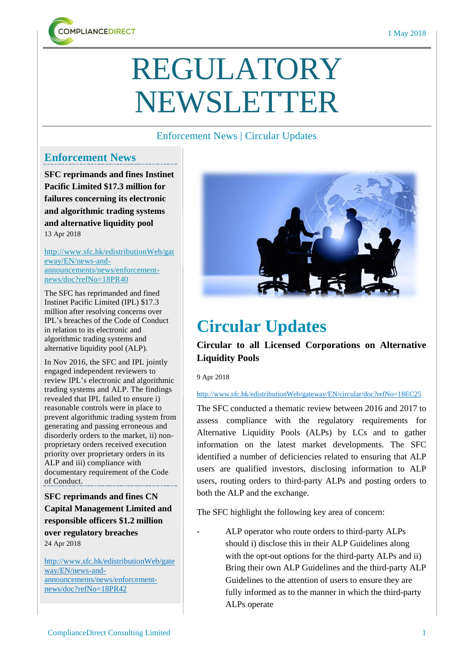

# REGULATORY NEWSLETTER

## Enforcement News | Circular Updates

## **Enforcement News**

**SFC reprimands and fines Instinet Pacific Limited \$17.3 million for failures concerning its electronic and algorithmic trading systems and alternative liquidity pool**  13 Apr 2018

#### [http://www.sfc.hk/edistributionWeb/gat](http://www.sfc.hk/edistributionWeb/gateway/EN/news-and-announcements/news/enforcement-news/doc?refNo=18PR40) [eway/EN/news-and](http://www.sfc.hk/edistributionWeb/gateway/EN/news-and-announcements/news/enforcement-news/doc?refNo=18PR40)[announcements/news/enforcement](http://www.sfc.hk/edistributionWeb/gateway/EN/news-and-announcements/news/enforcement-news/doc?refNo=18PR40)[news/doc?refNo=18PR40](http://www.sfc.hk/edistributionWeb/gateway/EN/news-and-announcements/news/enforcement-news/doc?refNo=18PR40)

The SFC has reprimanded and fined Instinet Pacific Limited (IPL) \$17.3 million after resolving concerns over IPL's breaches of the Code of Conduct in relation to its electronic and algorithmic trading systems and alternative liquidity pool (ALP).

In Nov 2016, the SFC and IPL jointly engaged independent reviewers to review IPL's electronic and algorithmic trading systems and ALP. The findings revealed that IPL failed to ensure i) reasonable controls were in place to prevent algorithmic trading system from generating and passing erroneous and disorderly orders to the market, ii) nonproprietary orders received execution priority over proprietary orders in its ALP and iii) compliance with documentary requirement of the Code of Conduct.

**SFC reprimands and fines CN Capital Management Limited and responsible officers \$1.2 million**

**over regulatory breaches** 24 Apr 2018

[http://www.sfc.hk/edistributionWeb/gate](http://www.sfc.hk/edistributionWeb/gateway/EN/news-and-announcements/news/enforcement-news/doc?refNo=18PR25) [way/EN/news-and](http://www.sfc.hk/edistributionWeb/gateway/EN/news-and-announcements/news/enforcement-news/doc?refNo=18PR25)[announcements/news/enforcement](http://www.sfc.hk/edistributionWeb/gateway/EN/news-and-announcements/news/enforcement-news/doc?refNo=18PR25)[news/doc?refNo=18PR42](http://www.sfc.hk/edistributionWeb/gateway/EN/news-and-announcements/news/enforcement-news/doc?refNo=18PR25)



# **Circular Updates**

# **Circular to all Licensed Corporations on Alternative Liquidity Pools**

9 Apr 2018

### <http://www.sfc.hk/edistributionWeb/gateway/EN/circular/doc?refNo=18EC25>

The SFC conducted a thematic review between 2016 and 2017 to assess compliance with the regulatory requirements for Alternative Liquidity Pools (ALPs) by LCs and to gather information on the latest market developments. The SFC identified a number of deficiencies related to ensuring that ALP users are qualified investors, disclosing information to ALP users, routing orders to third-party ALPs and posting orders to both the ALP and the exchange.

The SFC highlight the following key area of concern:

ALP operator who route orders to third-party ALPs should i) disclose this in their ALP Guidelines along with the opt-out options for the third-party ALPs and ii) Bring their own ALP Guidelines and the third-party ALP Guidelines to the attention of users to ensure they are fully informed as to the manner in which the third-party ALPs operate